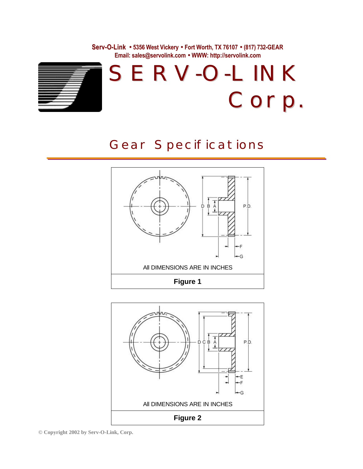**Serv-O-Link · 5356 West Vickery · Fort Worth, TX 76107 · (817) 732-GEAR Email: sales@servolink.com · WWW: http://servolink.com**



## Gear Specifications





**© Copyright 2002 by Serv-O-Link, Corp.**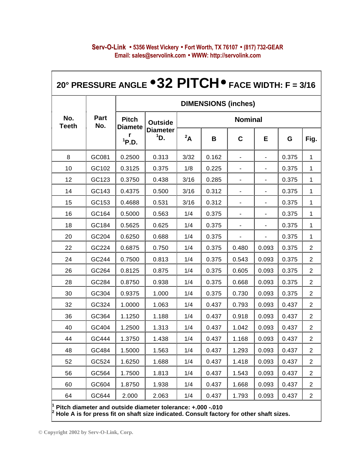| 20° PRESSURE ANGLE $\bullet$ 32 PITCH $\bullet$ FACE WIDTH: F = 3/16 |                    |                                              |                                             |                |       |             |       |       |                |  |  |
|----------------------------------------------------------------------|--------------------|----------------------------------------------|---------------------------------------------|----------------|-------|-------------|-------|-------|----------------|--|--|
|                                                                      | <b>Part</b><br>No. | <b>DIMENSIONS (inches)</b>                   |                                             |                |       |             |       |       |                |  |  |
| No.<br><b>Teeth</b>                                                  |                    | <b>Pitch</b><br><b>Diamete</b><br>$^{1}P.D.$ | <b>Outside</b><br><b>Diameter</b><br>$1$ D. | <b>Nominal</b> |       |             |       |       |                |  |  |
|                                                                      |                    |                                              |                                             | $\mathbf{A}^2$ | В     | $\mathbf C$ | E     | G     | Fig.           |  |  |
| 8                                                                    | GC081              | 0.2500                                       | 0.313                                       | 3/32           | 0.162 |             |       | 0.375 | 1              |  |  |
| 10                                                                   | GC102              | 0.3125                                       | 0.375                                       | 1/8            | 0.225 |             |       | 0.375 | 1              |  |  |
| 12                                                                   | GC123              | 0.3750                                       | 0.438                                       | 3/16           | 0.285 |             |       | 0.375 | 1              |  |  |
| 14                                                                   | GC143              | 0.4375                                       | 0.500                                       | 3/16           | 0.312 |             |       | 0.375 | 1              |  |  |
| 15                                                                   | GC153              | 0.4688                                       | 0.531                                       | 3/16           | 0.312 | ٠           | -     | 0.375 | 1              |  |  |
| 16                                                                   | GC164              | 0.5000                                       | 0.563                                       | 1/4            | 0.375 |             |       | 0.375 | 1              |  |  |
| 18                                                                   | GC184              | 0.5625                                       | 0.625                                       | 1/4            | 0.375 |             |       | 0.375 | 1              |  |  |
| 20                                                                   | GC204              | 0.6250                                       | 0.688                                       | 1/4            | 0.375 |             |       | 0.375 | 1              |  |  |
| 22                                                                   | GC224              | 0.6875                                       | 0.750                                       | 1/4            | 0.375 | 0.480       | 0.093 | 0.375 | 2              |  |  |
| 24                                                                   | GC244              | 0.7500                                       | 0.813                                       | 1/4            | 0.375 | 0.543       | 0.093 | 0.375 | 2              |  |  |
| 26                                                                   | GC264              | 0.8125                                       | 0.875                                       | 1/4            | 0.375 | 0.605       | 0.093 | 0.375 | 2              |  |  |
| 28                                                                   | GC284              | 0.8750                                       | 0.938                                       | 1/4            | 0.375 | 0.668       | 0.093 | 0.375 | 2              |  |  |
| 30                                                                   | GC304              | 0.9375                                       | 1.000                                       | 1/4            | 0.375 | 0.730       | 0.093 | 0.375 | 2              |  |  |
| 32                                                                   | GC324              | 1.0000                                       | 1.063                                       | 1/4            | 0.437 | 0.793       | 0.093 | 0.437 | 2              |  |  |
| 36                                                                   | GC364              | 1.1250                                       | 1.188                                       | 1/4            | 0.437 | 0.918       | 0.093 | 0.437 | 2              |  |  |
| 40                                                                   | GC404              | 1.2500                                       | 1.313                                       | 1/4            | 0.437 | 1.042       | 0.093 | 0.437 | $\overline{c}$ |  |  |
| 44                                                                   | GC444              | 1.3750                                       | 1.438                                       | 1/4            | 0.437 | 1.168       | 0.093 | 0.437 | $\overline{c}$ |  |  |
| 48                                                                   | GC484              | 1.5000                                       | 1.563                                       | 1/4            | 0.437 | 1.293       | 0.093 | 0.437 | $\overline{2}$ |  |  |
| 52                                                                   | GC524              | 1.6250                                       | 1.688                                       | 1/4            | 0.437 | 1.418       | 0.093 | 0.437 | $\overline{2}$ |  |  |
| 56                                                                   | GC564              | 1.7500                                       | 1.813                                       | 1/4            | 0.437 | 1.543       | 0.093 | 0.437 | $\overline{2}$ |  |  |
| 60                                                                   | GC604              | 1.8750                                       | 1.938                                       | 1/4            | 0.437 | 1.668       | 0.093 | 0.437 | $\overline{2}$ |  |  |
| 64                                                                   | GC644              | 2.000                                        | 2.063                                       | 1/4            | 0.437 | 1.793       | 0.093 | 0.437 | $\overline{2}$ |  |  |

## **Serv-O-Link · 5356 West Vickery · Fort Worth, TX 76107 · (817) 732-GEAR Email: sales@servolink.com · WWW: http://servolink.com**

 **Pitch diameter and outside diameter tolerance: +.000 -.010 2 Hole A is for press fit on shaft size indicated. Consult factory for other shaft sizes.**